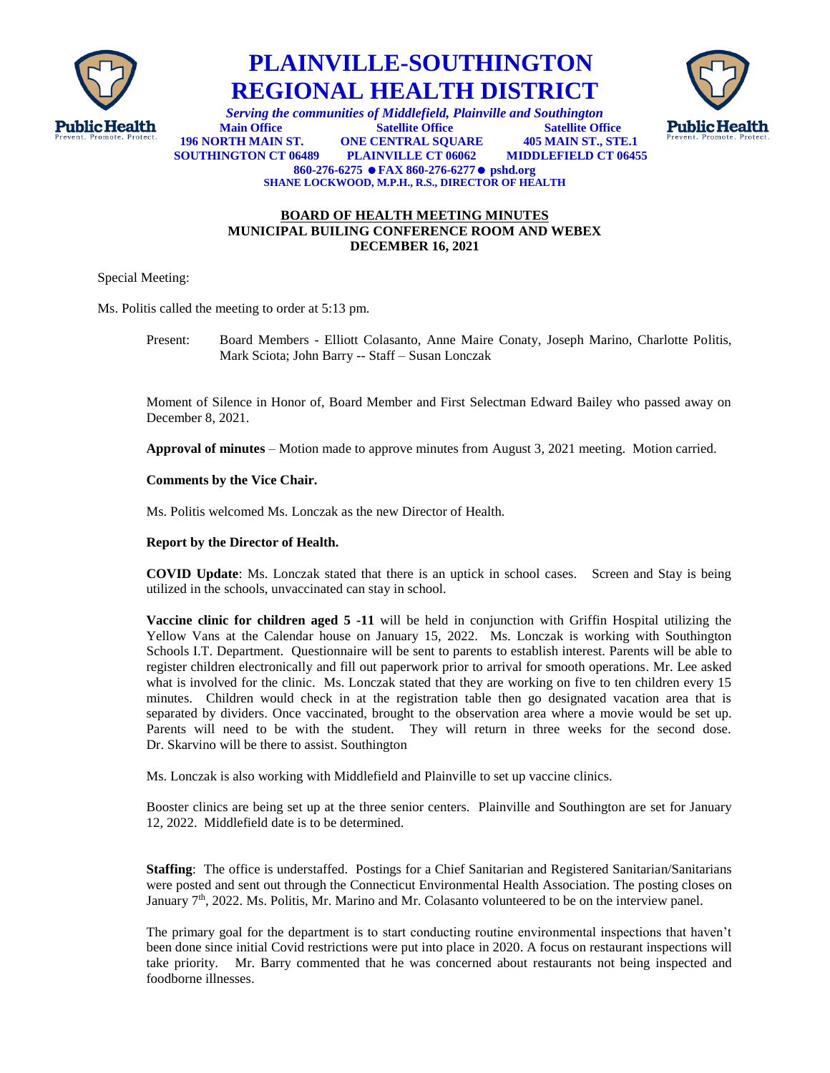

## **PLAINVILLE-SOUTHINGTON REGIONAL HEALTH DISTRICT**



**Public Health** *Serving the communities of Middlefield, Plainville and Southington*<br> **Public Health** *Main Office Satellite Office Satellite Office* **Satellite Office 196 NORTH MAIN ST. ONE CENTRAL SQUARE 405 MAIN ST., STE.1 MIDDLEFIELD CT 06455 860-276-6275 FAX 860-276-6277 pshd.org SHANE LOCKWOOD, M.P.H., R.S., DIRECTOR OF HEALTH**

## **BOARD OF HEALTH MEETING MINUTES MUNICIPAL BUILING CONFERENCE ROOM AND WEBEX DECEMBER 16, 2021**

Special Meeting:

Ms. Politis called the meeting to order at 5:13 pm.

Present: Board Members - Elliott Colasanto, Anne Maire Conaty, Joseph Marino, Charlotte Politis, Mark Sciota; John Barry -- Staff – Susan Lonczak

Moment of Silence in Honor of, Board Member and First Selectman Edward Bailey who passed away on December 8, 2021.

**Approval of minutes** – Motion made to approve minutes from August 3, 2021 meeting. Motion carried.

**Comments by the Vice Chair.**

Ms. Politis welcomed Ms. Lonczak as the new Director of Health.

**Report by the Director of Health.**

**COVID Update**: Ms. Lonczak stated that there is an uptick in school cases. Screen and Stay is being utilized in the schools, unvaccinated can stay in school.

**Vaccine clinic for children aged 5 -11** will be held in conjunction with Griffin Hospital utilizing the Yellow Vans at the Calendar house on January 15, 2022. Ms. Lonczak is working with Southington Schools I.T. Department. Questionnaire will be sent to parents to establish interest. Parents will be able to register children electronically and fill out paperwork prior to arrival for smooth operations. Mr. Lee asked what is involved for the clinic. Ms. Lonczak stated that they are working on five to ten children every 15 minutes. Children would check in at the registration table then go designated vacation area that is separated by dividers. Once vaccinated, brought to the observation area where a movie would be set up. Parents will need to be with the student. They will return in three weeks for the second dose. Dr. Skarvino will be there to assist. Southington

Ms. Lonczak is also working with Middlefield and Plainville to set up vaccine clinics.

Booster clinics are being set up at the three senior centers. Plainville and Southington are set for January 12, 2022. Middlefield date is to be determined.

**Staffing**: The office is understaffed. Postings for a Chief Sanitarian and Registered Sanitarian/Sanitarians were posted and sent out through the Connecticut Environmental Health Association. The posting closes on January  $7<sup>th</sup>$ , 2022. Ms. Politis, Mr. Marino and Mr. Colasanto volunteered to be on the interview panel.

The primary goal for the department is to start conducting routine environmental inspections that haven't been done since initial Covid restrictions were put into place in 2020. A focus on restaurant inspections will take priority. Mr. Barry commented that he was concerned about restaurants not being inspected and foodborne illnesses.